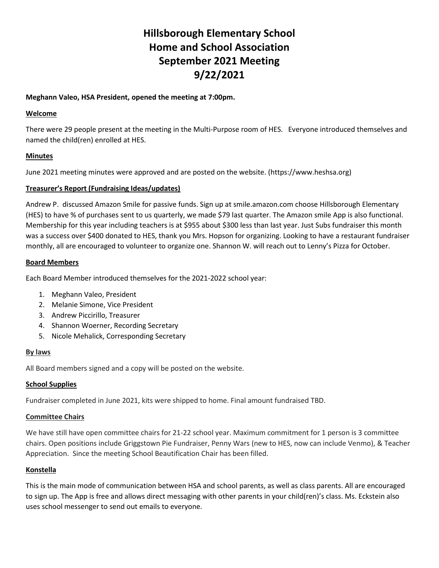# **Hillsborough Elementary School Home and School Association September 2021 Meeting 9/22/2021**

## **Meghann Valeo, HSA President, opened the meeting at 7:00pm.**

## **Welcome**

There were 29 people present at the meeting in the Multi-Purpose room of HES. Everyone introduced themselves and named the child(ren) enrolled at HES.

# **Minutes**

June 2021 meeting minutes were approved and are posted on the website. (https://www.heshsa.org)

## **Treasurer's Report (Fundraising Ideas/updates)**

Andrew P. discussed Amazon Smile for passive funds. Sign up at smile.amazon.com choose Hillsborough Elementary (HES) to have % of purchases sent to us quarterly, we made \$79 last quarter. The Amazon smile App is also functional. Membership for this year including teachers is at \$955 about \$300 less than last year. Just Subs fundraiser this month was a success over \$400 donated to HES, thank you Mrs. Hopson for organizing. Looking to have a restaurant fundraiser monthly, all are encouraged to volunteer to organize one. Shannon W. will reach out to Lenny's Pizza for October.

## **Board Members**

Each Board Member introduced themselves for the 2021-2022 school year:

- 1. Meghann Valeo, President
- 2. Melanie Simone, Vice President
- 3. Andrew Piccirillo, Treasurer
- 4. Shannon Woerner, Recording Secretary
- 5. Nicole Mehalick, Corresponding Secretary

## **By laws**

All Board members signed and a copy will be posted on the website.

# **School Supplies**

Fundraiser completed in June 2021, kits were shipped to home. Final amount fundraised TBD.

## **Committee Chairs**

We have still have open committee chairs for 21-22 school year. Maximum commitment for 1 person is 3 committee chairs. Open positions include Griggstown Pie Fundraiser, Penny Wars (new to HES, now can include Venmo), & Teacher Appreciation. Since the meeting School Beautification Chair has been filled.

# **Konstella**

This is the main mode of communication between HSA and school parents, as well as class parents. All are encouraged to sign up. The App is free and allows direct messaging with other parents in your child(ren)'s class. Ms. Eckstein also uses school messenger to send out emails to everyone.